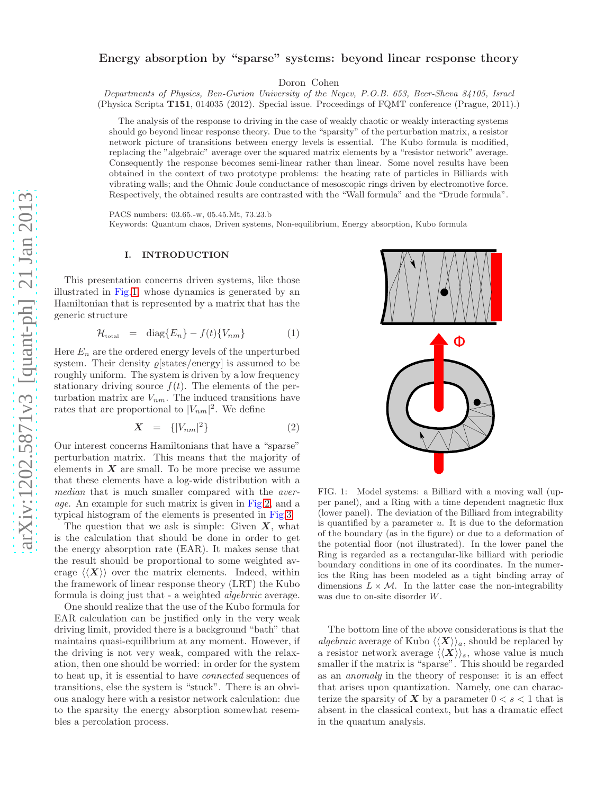# Energy absorption by "sparse" systems: beyond linear response theory

Doron Cohen

Departments of Physics, Ben-Gurion University of the Negev, P.O.B. 653, Beer-Sheva 84105, Israel (Physica Scripta T151, 014035 (2012). Special issue. Proceedings of FQMT conference (Prague, 2011).)

The analysis of the response to driving in the case of weakly chaotic or weakly interacting systems should go beyond linear response theory. Due to the "sparsity" of the perturbation matrix, a resistor network picture of transitions between energy levels is essential. The Kubo formula is modified, replacing the "algebraic" average over the squared matrix elements by a "resistor network" average. Consequently the response becomes semi-linear rather than linear. Some novel results have been obtained in the context of two prototype problems: the heating rate of particles in Billiards with vibrating walls; and the Ohmic Joule conductance of mesoscopic rings driven by electromotive force. Respectively, the obtained results are contrasted with the "Wall formula" and the "Drude formula".

PACS numbers: 03.65.-w, 05.45.Mt, 73.23.b

Keywords: Quantum chaos, Driven systems, Non-equilibrium, Energy absorption, Kubo formula

### I. INTRODUCTION

This presentation concerns driven systems, like those illustrated in Fig[.1,](#page-0-0) whose dynamics is generated by an Hamiltonian that is represented by a matrix that has the generic structure

<span id="page-0-1"></span>
$$
\mathcal{H}_{\text{total}} = \text{diag}\{E_n\} - f(t)\{V_{nm}\}\tag{1}
$$

Here  $E_n$  are the ordered energy levels of the unperturbed system. Their density  $\rho$ [states/energy] is assumed to be roughly uniform. The system is driven by a low frequency stationary driving source  $f(t)$ . The elements of the perturbation matrix are  $V_{nm}$ . The induced transitions have rates that are proportional to  $|V_{nm}|^2$ . We define

<span id="page-0-2"></span>
$$
\mathbf{X} = \{ |V_{nm}|^2 \} \tag{2}
$$

Our interest concerns Hamiltonians that have a "sparse" perturbation matrix. This means that the majority of elements in  $X$  are small. To be more precise we assume that these elements have a log-wide distribution with a median that is much smaller compared with the *aver*age. An example for such matrix is given in Fig[.2,](#page-1-0) and a typical histogram of the elements is presented in Fig[.3.](#page-1-1)

The question that we ask is simple: Given  $X$ , what is the calculation that should be done in order to get the energy absorption rate (EAR). It makes sense that the result should be proportional to some weighted average  $\langle \langle X \rangle \rangle$  over the matrix elements. Indeed, within the framework of linear response theory (LRT) the Kubo formula is doing just that - a weighted algebraic average.

One should realize that the use of the Kubo formula for EAR calculation can be justified only in the very weak driving limit, provided there is a background "bath" that maintains quasi-equilibrium at any moment. However, if the driving is not very weak, compared with the relaxation, then one should be worried: in order for the system to heat up, it is essential to have connected sequences of transitions, else the system is "stuck". There is an obvious analogy here with a resistor network calculation: due to the sparsity the energy absorption somewhat resembles a percolation process.



<span id="page-0-0"></span>FIG. 1: Model systems: a Billiard with a moving wall (upper panel), and a Ring with a time dependent magnetic flux (lower panel). The deviation of the Billiard from integrability is quantified by a parameter  $u$ . It is due to the deformation of the boundary (as in the figure) or due to a deformation of the potential floor (not illustrated). In the lower panel the Ring is regarded as a rectangular-like billiard with periodic boundary conditions in one of its coordinates. In the numerics the Ring has been modeled as a tight binding array of dimensions  $L \times \mathcal{M}$ . In the latter case the non-integrability was due to on-site disorder W.

The bottom line of the above considerations is that the algebraic average of Kubo  $\langle \langle X \rangle \rangle_a$ , should be replaced by a resistor network average  $\langle \langle X \rangle \rangle_s$ , whose value is much smaller if the matrix is "sparse". This should be regarded as an anomaly in the theory of response: it is an effect that arises upon quantization. Namely, one can characterize the sparsity of X by a parameter  $0 < s < 1$  that is absent in the classical context, but has a dramatic effect in the quantum analysis.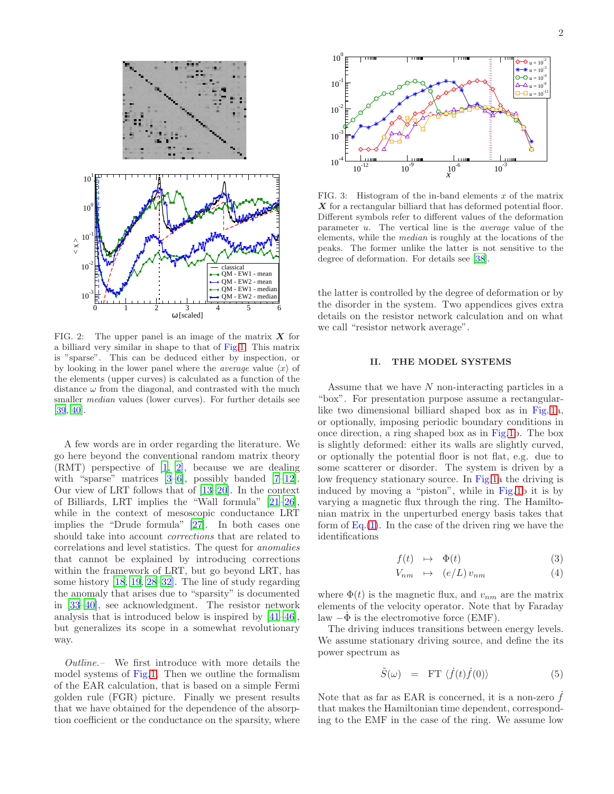

<span id="page-1-0"></span>FIG. 2: The upper panel is an image of the matrix  $X$  for a billiard very similar in shape to that of Fig[.1.](#page-0-0) This matrix is "sparse". This can be deduced either by inspection, or by looking in the lower panel where the *average* value  $\langle x \rangle$  of the elements (upper curves) is calculated as a function of the distance  $\omega$  from the diagonal, and contrasted with the much smaller median values (lower curves). For further details see [\[39,](#page-7-0) [40\]](#page-7-1).

A few words are in order regarding the literature. We go here beyond the conventional random matrix theory  $(RMT)$  perspective of  $[1, 2]$  $[1, 2]$  $[1, 2]$ , because we are dealing with "sparse" matrices  $[3-6]$  $[3-6]$ , possibly banded  $[7-12]$  $[7-12]$ . Our view of LRT follows that of [\[13](#page-7-8)[–20\]](#page-7-9). In the context of Billiards, LRT implies the "Wall formula"  $[21-26]$  $[21-26]$ , while in the context of mesoscopic conductance LRT implies the "Drude formula" [\[27\]](#page-7-12). In both cases one should take into account corrections that are related to correlations and level statistics. The quest for anomalies that cannot be explained by introducing corrections within the framework of LRT, but go beyond LRT, has some history [\[18,](#page-7-13) [19,](#page-7-14) [28](#page-7-15)[–32](#page-7-16)]. The line of study regarding the anomaly that arises due to "sparsity" is documented in [\[33](#page-7-17)[–40\]](#page-7-1), see acknowledgment. The resistor network analysis that is introduced below is inspired by [\[41](#page-7-18)[–46\]](#page-7-19), but generalizes its scope in a somewhat revolutionary way.

Outline.– We first introduce with more details the model systems of Fig[.1.](#page-0-0) Then we outline the formalism of the EAR calculation, that is based on a simple Fermi golden rule (FGR) picture. Finally we present results that we have obtained for the dependence of the absorption coefficient or the conductance on the sparsity, where



<span id="page-1-1"></span>FIG. 3: Histogram of the in-band elements  $x$  of the matrix  $\boldsymbol{X}$  for a rectangular billiard that has deformed potential floor. Different symbols refer to different values of the deformation parameter  $u$ . The vertical line is the *average* value of the elements, while the median is roughly at the locations of the peaks. The former unlike the latter is not sensitive to the degree of deformation. For details see [\[38\]](#page-7-20).

the latter is controlled by the degree of deformation or by the disorder in the system. Two appendices gives extra details on the resistor network calculation and on what we call "resistor network average".

# II. THE MODEL SYSTEMS

Assume that we have  $N$  non-interacting particles in a "box". For presentation purpose assume a rectangular-like two dimensional billiard shaped box as in Fig. [1a](#page-0-0). or optionally, imposing periodic boundary conditions in once direction, a ring shaped box as in Fig[.1b](#page-0-0). The box is slightly deformed: either its walls are slightly curved, or optionally the potential floor is not flat, e.g. due to some scatterer or disorder. The system is driven by a low frequency stationary source. In Fig[.1a](#page-0-0) the driving is induced by moving a "piston", while in Fig[.1b](#page-0-0) it is by varying a magnetic flux through the ring. The Hamiltonian matrix in the unperturbed energy basis takes that form of  $Eq.(1)$  $Eq.(1)$ . In the case of the driven ring we have the identifications

$$
f(t) \rightarrow \Phi(t) \tag{3}
$$

$$
V_{nm} \quad \mapsto \quad (e/L) \, v_{nm} \tag{4}
$$

where  $\Phi(t)$  is the magnetic flux, and  $v_{nm}$  are the matrix elements of the velocity operator. Note that by Faraday law  $-\Phi$  is the electromotive force (EMF).

The driving induces transitions between energy levels. We assume stationary driving source, and define the its power spectrum as

$$
\tilde{S}(\omega) = \text{FT } \langle \dot{f}(t)\dot{f}(0) \rangle \tag{5}
$$

Note that as far as EAR is concerned, it is a non-zero  $f$ that makes the Hamiltonian time dependent, corresponding to the EMF in the case of the ring. We assume low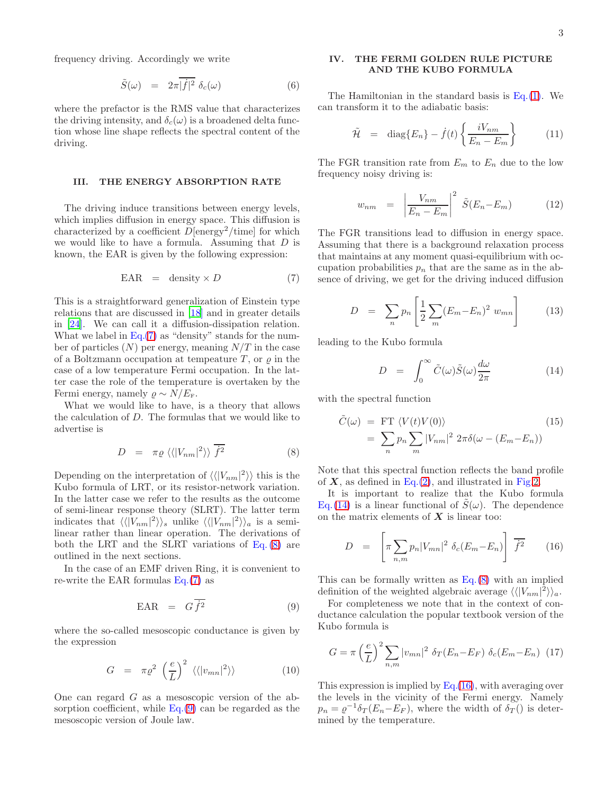frequency driving. Accordingly we write

$$
\tilde{S}(\omega) = 2\pi |\dot{f}|^2 \delta_c(\omega) \tag{6}
$$

where the prefactor is the RMS value that characterizes the driving intensity, and  $\delta_c(\omega)$  is a broadened delta function whose line shape reflects the spectral content of the driving.

#### III. THE ENERGY ABSORPTION RATE

The driving induce transitions between energy levels, which implies diffusion in energy space. This diffusion is characterized by a coefficient  $\overline{D}$ [energy<sup>2</sup>/time] for which we would like to have a formula. Assuming that  $D$  is known, the EAR is given by the following expression:

<span id="page-2-0"></span>
$$
EAR = density \times D \tag{7}
$$

This is a straightforward generalization of Einstein type relations that are discussed in [\[18](#page-7-13)] and in greater details in [\[24\]](#page-7-21). We can call it a diffusion-dissipation relation. What we label in  $Eq.(7)$  $Eq.(7)$  as "density" stands for the number of particles  $(N)$  per energy, meaning  $N/T$  in the case of a Boltzmann occupation at tempeature  $T$ , or  $\varrho$  in the case of a low temperature Fermi occupation. In the latter case the role of the temperature is overtaken by the Fermi energy, namely  $\rho \sim N/E_{\rm F}$ .

What we would like to have, is a theory that allows the calculation of D. The formulas that we would like to advertise is

<span id="page-2-1"></span>
$$
D = \pi \varrho \langle \langle |V_{nm}|^2 \rangle \rangle \overline{f^2}
$$
 (8)

Depending on the interpretation of  $\langle \langle |V_{nm}|^2 \rangle \rangle$  this is the Kubo formula of LRT, or its resistor-network variation. In the latter case we refer to the results as the outcome of semi-linear response theory (SLRT). The latter term indicates that  $\langle \langle |V_{nm}|^2 \rangle \rangle_s$  unlike  $\langle \langle |V_{nm}|^2 \rangle \rangle_a$  is a semilinear rather than linear operation. The derivations of both the LRT and the SLRT variations of Eq. [\(8\)](#page-2-1) are outlined in the next sections.

In the case of an EMF driven Ring, it is convenient to re-write the EAR formulas  $Eq.(7)$  $Eq.(7)$  as

<span id="page-2-2"></span>
$$
EAR = G\overline{\dot{f}^2} \tag{9}
$$

where the so-called mesoscopic conductance is given by the expression

<span id="page-2-6"></span>
$$
G = \pi \varrho^2 \left(\frac{e}{L}\right)^2 \langle \langle |v_{mn}|^2 \rangle \rangle \tag{10}
$$

One can regard G as a mesoscopic version of the absorption coefficient, while  $Eq.(9)$  $Eq.(9)$  can be regarded as the mesoscopic version of Joule law.

## IV. THE FERMI GOLDEN RULE PICTURE AND THE KUBO FORMULA

The Hamiltonian in the standard basis is  $Eq.(1)$  $Eq.(1)$ . We can transform it to the adiabatic basis:

$$
\tilde{\mathcal{H}} = \text{diag}\{E_n\} - \dot{f}(t) \left\{ \frac{iV_{nm}}{E_n - E_m} \right\} \tag{11}
$$

The FGR transition rate from  $E_m$  to  $E_n$  due to the low frequency noisy driving is:

<span id="page-2-5"></span>
$$
w_{nm} = \left| \frac{V_{nm}}{E_n - E_m} \right|^2 \tilde{S}(E_n - E_m)
$$
 (12)

The FGR transitions lead to diffusion in energy space. Assuming that there is a background relaxation process that maintains at any moment quasi-equilibrium with occupation probabilities  $p_n$  that are the same as in the absence of driving, we get for the driving induced diffusion

$$
D = \sum_{n} p_n \left[ \frac{1}{2} \sum_{m} (E_m - E_n)^2 w_{mn} \right]
$$
 (13)

leading to the Kubo formula

<span id="page-2-3"></span>
$$
D = \int_0^\infty \tilde{C}(\omega) \tilde{S}(\omega) \frac{d\omega}{2\pi}
$$
 (14)

with the spectral function

<span id="page-2-7"></span>
$$
\tilde{C}(\omega) = \text{FT} \langle V(t)V(0) \rangle \tag{15}
$$
\n
$$
= \sum_{n} p_n \sum_{m} |V_{nm}|^2 2\pi \delta(\omega - (E_m - E_n))
$$

Note that this spectral function reflects the band profile of  $X$ , as defined in Eq.[\(2\)](#page-0-2), and illustrated in Fig[.2.](#page-1-0)

It is important to realize that the Kubo formula Eq.[\(14\)](#page-2-3) is a linear functional of  $S(\omega)$ . The dependence on the matrix elements of  $X$  is linear too:

<span id="page-2-4"></span>
$$
D = \left[ \pi \sum_{n,m} p_n |V_{mn}|^2 \delta_c (E_m - E_n) \right] \overline{f^2} \qquad (16)
$$

This can be formally written as  $Eq.(8)$  $Eq.(8)$  with an implied definition of the weighted algebraic average  $\langle \langle |V_{nm}|^2 \rangle \rangle_a$ .

For completeness we note that in the context of conductance calculation the popular textbook version of the Kubo formula is

$$
G = \pi \left(\frac{e}{L}\right)^2 \sum_{n,m} |v_{mn}|^2 \delta_T (E_n - E_F) \delta_c (E_m - E_n) \tag{17}
$$

This expression is implied by  $Eq.(16)$  $Eq.(16)$ , with averaging over the levels in the vicinity of the Fermi energy. Namely  $p_n = \varrho^{-1} \delta_T (E_n - E_F)$ , where the width of  $\delta_T(\tilde{\theta})$  is determined by the temperature.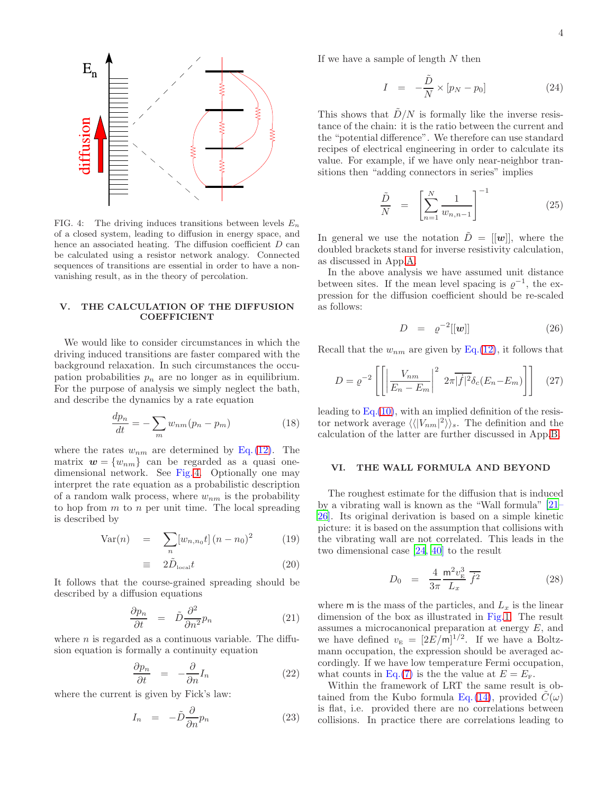

<span id="page-3-0"></span>FIG. 4: The driving induces transitions between levels  $E_n$ of a closed system, leading to diffusion in energy space, and hence an associated heating. The diffusion coefficient  $D$  can be calculated using a resistor network analogy. Connected sequences of transitions are essential in order to have a nonvanishing result, as in the theory of percolation.

## V. THE CALCULATION OF THE DIFFUSION COEFFICIENT

We would like to consider circumstances in which the driving induced transitions are faster compared with the background relaxation. In such circumstances the occupation probabilities  $p_n$  are no longer as in equilibrium. For the purpose of analysis we simply neglect the bath, and describe the dynamics by a rate equation

$$
\frac{dp_n}{dt} = -\sum_m w_{nm}(p_n - p_m) \tag{18}
$$

where the rates  $w_{nm}$  are determined by Eq. [\(12\)](#page-2-5). The matrix  $\mathbf{w} = \{w_{nm}\}\)$  can be regarded as a quasi onedimensional network. See Fig. [4.](#page-3-0) Optionally one may interpret the rate equation as a probabilistic description of a random walk process, where  $w_{nm}$  is the probability to hop from  $m$  to  $n$  per unit time. The local spreading is described by

Var(n) = 
$$
\sum_{n} [w_{n,n_0}t] (n - n_0)^2
$$
 (19)

$$
\equiv 2\tilde{D}_{\text{local}}t \tag{20}
$$

It follows that the course-grained spreading should be described by a diffusion equations

$$
\frac{\partial p_n}{\partial t} = \tilde{D} \frac{\partial^2}{\partial n^2} p_n \tag{21}
$$

where  $n$  is regarded as a continuous variable. The diffusion equation is formally a continuity equation

$$
\frac{\partial p_n}{\partial t} = -\frac{\partial}{\partial n} I_n \tag{22}
$$

where the current is given by Fick's law:

$$
I_n = -\tilde{D}\frac{\partial}{\partial n}p_n \tag{23}
$$

If we have a sample of length  $N$  then

$$
I = -\frac{\tilde{D}}{N} \times [p_N - p_0]
$$
 (24)

This shows that  $\ddot{D}/N$  is formally like the inverse resistance of the chain: it is the ratio between the current and the "potential difference". We therefore can use standard recipes of electrical engineering in order to calculate its value. For example, if we have only near-neighbor transitions then "adding connectors in series" implies

$$
\frac{\tilde{D}}{N} = \left[ \sum_{n=1}^{N} \frac{1}{w_{n,n-1}} \right]^{-1}
$$
\n(25)

In general we use the notation  $\tilde{D} = [[w]]$ , where the doubled brackets stand for inverse resistivity calculation, as discussed in App[.A.](#page-6-0)

In the above analysis we have assumed unit distance between sites. If the mean level spacing is  $\varrho^{-1}$ , the expression for the diffusion coefficient should be re-scaled as follows:

$$
D = \varrho^{-2}[[\mathbf{w}]] \tag{26}
$$

Recall that the  $w_{nm}$  are given by Eq.[\(12\)](#page-2-5), it follows that

$$
D = \varrho^{-2} \left[ \left[ \left| \frac{V_{nm}}{E_n - E_m} \right|^2 2\pi \vert \dot{f} \vert^2 \delta_c (E_n - E_m) \right] \right] \tag{27}
$$

leading to  $Eq.(10)$  $Eq.(10)$ , with an implied definition of the resistor network average  $\langle \langle |V_{nm}|^2 \rangle \rangle_s$ . The definition and the calculation of the latter are further discussed in App[.B.](#page-6-1)

### VI. THE WALL FORMULA AND BEYOND

The roughest estimate for the diffusion that is induced by a vibrating wall is known as the "Wall formula" [\[21](#page-7-10)– [26](#page-7-11)]. Its original derivation is based on a simple kinetic picture: it is based on the assumption that collisions with the vibrating wall are not correlated. This leads in the two dimensional case [\[24,](#page-7-21) [40\]](#page-7-1) to the result

$$
D_0 = \frac{4}{3\pi} \frac{\text{m}^2 v_{\text{E}}^3}{L_x} \overline{f^2}
$$
 (28)

where m is the mass of the particles, and  $L_x$  is the linear dimension of the box as illustrated in Fig[.1.](#page-0-0) The result assumes a microcanonical preparation at energy  $E$ , and we have defined  $v_{\rm E} = [2E/\text{m}]^{1/2}$ . If we have a Boltzmann occupation, the expression should be averaged accordingly. If we have low temperature Fermi occupation, what counts in Eq.[\(7\)](#page-2-0) is the the value at  $E = E<sub>F</sub>$ .

Within the framework of LRT the same result is ob-tained from the Kubo formula Eq.[\(14\)](#page-2-3), provided  $C(\omega)$ is flat, i.e. provided there are no correlations between collisions. In practice there are correlations leading to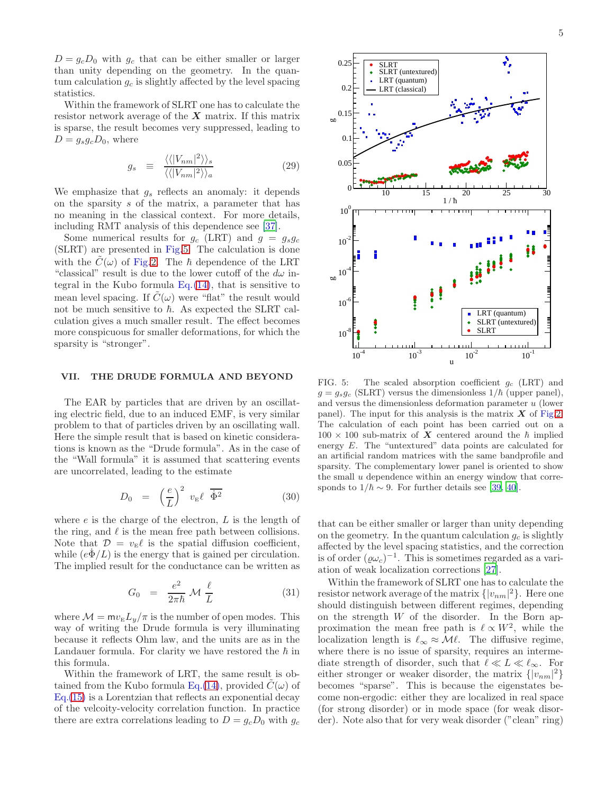$D = g_c D_0$  with  $g_c$  that can be either smaller or larger than unity depending on the geometry. In the quantum calculation  $g_c$  is slightly affected by the level spacing statistics.

Within the framework of SLRT one has to calculate the resistor network average of the  $X$  matrix. If this matrix is sparse, the result becomes very suppressed, leading to  $D = g_s g_c D_0$ , where

$$
g_s \equiv \frac{\langle \langle |V_{nm}|^2 \rangle \rangle_s}{\langle \langle |V_{nm}|^2 \rangle \rangle_a} \tag{29}
$$

We emphasize that  $g_s$  reflects an anomaly: it depends on the sparsity s of the matrix, a parameter that has no meaning in the classical context. For more details, including RMT analysis of this dependence see [\[37\]](#page-7-22).

Some numerical results for  $g_c$  (LRT) and  $g = g_s g_c$ (SLRT) are presented in Fig[.5.](#page-4-0) The calculation is done with the  $C(\omega)$  of Fig[.2.](#page-1-0) The  $\hbar$  dependence of the LRT "classical" result is due to the lower cutoff of the  $d\omega$  integral in the Kubo formula  $Eq. (14)$  $Eq. (14)$ , that is sensitive to mean level spacing. If  $\tilde{C}(\omega)$  were "flat" the result would not be much sensitive to  $\hbar$ . As expected the SLRT calculation gives a much smaller result. The effect becomes more conspicuous for smaller deformations, for which the sparsity is "stronger".

## VII. THE DRUDE FORMULA AND BEYOND

The EAR by particles that are driven by an oscillating electric field, due to an induced EMF, is very similar problem to that of particles driven by an oscillating wall. Here the simple result that is based on kinetic considerations is known as the "Drude formula". As in the case of the "Wall formula" it is assumed that scattering events are uncorrelated, leading to the estimate

$$
D_0 = \left(\frac{e}{L}\right)^2 v_{\rm E} \ell \overline{\dot{\Phi}^2} \tag{30}
$$

where  $e$  is the charge of the electron,  $L$  is the length of the ring, and  $\ell$  is the mean free path between collisions. Note that  $\mathcal{D} = v_{\rm E} \ell$  is the spatial diffusion coefficient, while  $(e\Phi/L)$  is the energy that is gained per circulation. The implied result for the conductance can be written as

$$
G_0 = \frac{e^2}{2\pi\hbar} \mathcal{M} \frac{\ell}{L} \tag{31}
$$

where  $\mathcal{M} = m v_{\rm E} L_y / \pi$  is the number of open modes. This way of writing the Drude formula is very illuminating because it reflects Ohm law, and the units are as in the Landauer formula. For clarity we have restored the  $\hbar$  in this formula.

Within the framework of LRT, the same result is ob-tained from the Kubo formula Eq.[\(14\)](#page-2-3), provided  $C(\omega)$  of Eq.[\(15\)](#page-2-7) is a Lorentzian that reflects an exponential decay of the velcoity-velocity correlation function. In practice there are extra correlations leading to  $D = g_c D_0$  with  $g_c$ 



<span id="page-4-0"></span>FIG. 5: The scaled absorption coefficient  $g_c$  (LRT) and  $g = g_s g_c$  (SLRT) versus the dimensionless  $1/\hbar$  (upper panel), and versus the dimensionless deformation parameter u (lower panel). The input for this analysis is the matrix  $X$  of Fig[.2.](#page-1-0) The calculation of each point has been carried out on a  $100 \times 100$  sub-matrix of X centered around the  $\hbar$  implied energy E. The "untextured" data points are calculated for an artificial random matrices with the same bandprofile and sparsity. The complementary lower panel is oriented to show the small  $u$  dependence within an energy window that corresponds to  $1/\hbar \sim 9$ . For further details see [\[39,](#page-7-0) [40\]](#page-7-1).

that can be either smaller or larger than unity depending on the geometry. In the quantum calculation  $g_c$  is slightly affected by the level spacing statistics, and the correction is of order  $(\varrho \omega_c)^{-1}$ . This is sometimes regarded as a variation of weak localization corrections [\[27\]](#page-7-12).

Within the framework of SLRT one has to calculate the resistor network average of the matrix  $\{|v_{nm}|^2\}$ . Here one should distinguish between different regimes, depending on the strength  $W$  of the disorder. In the Born approximation the mean free path is  $\ell \propto W^2$ , while the localization length is  $\ell_{\infty} \approx M\ell$ . The diffusive regime, where there is no issue of sparsity, requires an intermediate strength of disorder, such that  $\ell \ll L \ll \ell_{\infty}$ . For either stronger or weaker disorder, the matrix  $\{|v_{nm}|^2\}$ becomes "sparse". This is because the eigenstates become non-ergodic: either they are localized in real space (for strong disorder) or in mode space (for weak disorder). Note also that for very weak disorder ("clean" ring)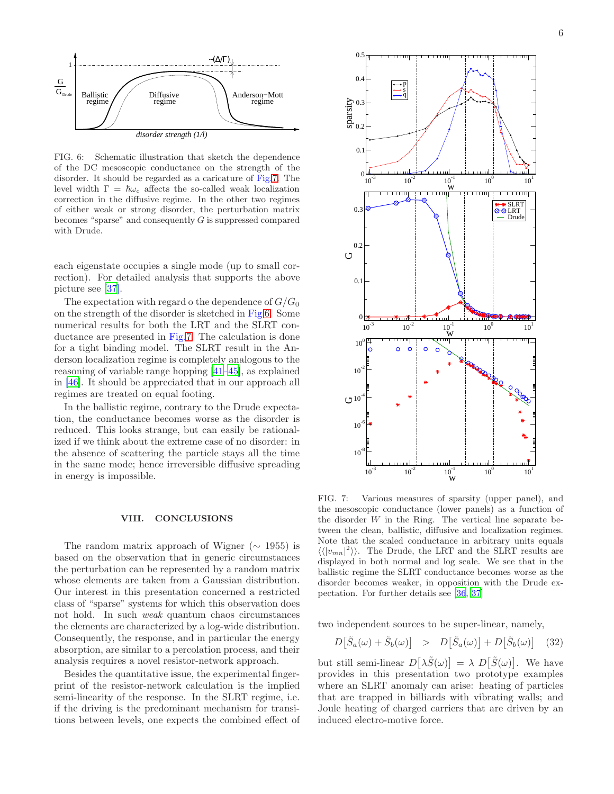

<span id="page-5-1"></span>FIG. 6: Schematic illustration that sketch the dependence of the DC mesoscopic conductance on the strength of the disorder. It should be regarded as a caricature of Fig[.7.](#page-5-0) The level width Γ =  $\hbar\omega_c$  affects the so-called weak localization correction in the diffusive regime. In the other two regimes of either weak or strong disorder, the perturbation matrix becomes "sparse" and consequently  $G$  is suppressed compared with Drude.

each eigenstate occupies a single mode (up to small correction). For detailed analysis that supports the above picture see [\[37\]](#page-7-22).

The expectation with regard o the dependence of  $G/G_0$ on the strength of the disorder is sketched in Fig[.6.](#page-5-1) Some numerical results for both the LRT and the SLRT conductance are presented in Fig[.7.](#page-5-0) The calculation is done for a tight binding model. The SLRT result in the Anderson localization regime is completely analogous to the reasoning of variable range hopping [\[41](#page-7-18)[–45\]](#page-7-23), as explained in [\[46\]](#page-7-19). It should be appreciated that in our approach all regimes are treated on equal footing.

In the ballistic regime, contrary to the Drude expectation, the conductance becomes worse as the disorder is reduced. This looks strange, but can easily be rationalized if we think about the extreme case of no disorder: in the absence of scattering the particle stays all the time in the same mode; hence irreversible diffusive spreading in energy is impossible.

#### VIII. CONCLUSIONS

The random matrix approach of Wigner ( $\sim$  1955) is based on the observation that in generic circumstances the perturbation can be represented by a random matrix whose elements are taken from a Gaussian distribution. Our interest in this presentation concerned a restricted class of "sparse" systems for which this observation does not hold. In such weak quantum chaos circumstances the elements are characterized by a log-wide distribution. Consequently, the response, and in particular the energy absorption, are similar to a percolation process, and their analysis requires a novel resistor-network approach.

Besides the quantitative issue, the experimental fingerprint of the resistor-network calculation is the implied semi-linearity of the response. In the SLRT regime, i.e. if the driving is the predominant mechanism for transitions between levels, one expects the combined effect of



<span id="page-5-0"></span>FIG. 7: Various measures of sparsity (upper panel), and the mesoscopic conductance (lower panels) as a function of the disorder  $W$  in the Ring. The vertical line separate between the clean, ballistic, diffusive and localization regimes. Note that the scaled conductance in arbitrary units equals  $\langle \langle |v_{mn}|^2 \rangle \rangle$ . The Drude, the LRT and the SLRT results are displayed in both normal and log scale. We see that in the ballistic regime the SLRT conductance becomes worse as the disorder becomes weaker, in opposition with the Drude expectation. For further details see [\[36,](#page-7-24) [37\]](#page-7-22)

two independent sources to be super-linear, namely,

$$
D\big[\tilde{S}_a(\omega) + \tilde{S}_b(\omega)\big] > D\big[\tilde{S}_a(\omega)\big] + D\big[\tilde{S}_b(\omega)\big] \quad (32)
$$

but still semi-linear  $D[\lambda \tilde{S}(\omega)] = \lambda D[\tilde{S}(\omega)].$  We have provides in this presentation two prototype examples where an SLRT anomaly can arise: heating of particles that are trapped in billiards with vibrating walls; and Joule heating of charged carriers that are driven by an induced electro-motive force.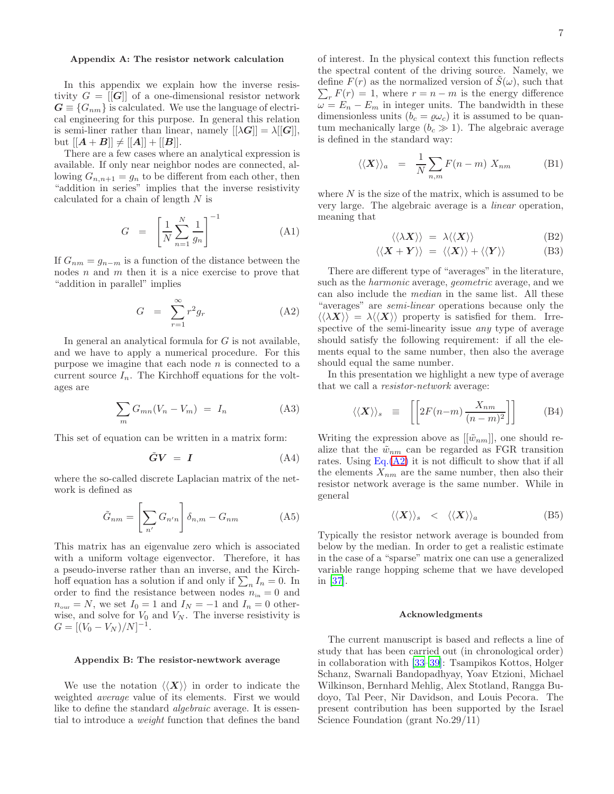## <span id="page-6-0"></span>Appendix A: The resistor network calculation

In this appendix we explain how the inverse resistivity  $G = |G|$  of a one-dimensional resistor network  $G \equiv \{G_{nm}\}\$ is calculated. We use the language of electrical engineering for this purpose. In general this relation is semi-liner rather than linear, namely  $[[\lambda G]] = \lambda[[G]],$ but  $[[A + B]] \neq [[A]] + [[B]].$ 

There are a few cases where an analytical expression is available. If only near neighbor nodes are connected, allowing  $G_{n,n+1} = g_n$  to be different from each other, then "addition in series" implies that the inverse resistivity calculated for a chain of length N is

$$
G = \left[\frac{1}{N} \sum_{n=1}^{N} \frac{1}{g_n}\right]^{-1} \tag{A1}
$$

If  $G_{nm} = g_{n-m}$  is a function of the distance between the nodes  $n$  and  $m$  then it is a nice exercise to prove that "addition in parallel" implies

<span id="page-6-2"></span>
$$
G = \sum_{r=1}^{\infty} r^2 g_r \tag{A2}
$$

In general an analytical formula for  $G$  is not available, and we have to apply a numerical procedure. For this purpose we imagine that each node  $n$  is connected to a current source  $I_n$ . The Kirchhoff equations for the voltages are

$$
\sum_{m} G_{mn}(V_n - V_m) = I_n \tag{A3}
$$

This set of equation can be written in a matrix form:

$$
\tilde{G}V = I \tag{A4}
$$

where the so-called discrete Laplacian matrix of the network is defined as

$$
\tilde{G}_{nm} = \left[\sum_{n'} G_{n'n}\right] \delta_{n,m} - G_{nm} \tag{A5}
$$

This matrix has an eigenvalue zero which is associated with a uniform voltage eigenvector. Therefore, it has a pseudo-inverse rather than an inverse, and the Kirchhoff equation has a solution if and only if  $\sum_n I_n = 0$ . In order to find the resistance between nodes  $n_{\rm in} = 0$  and  $n_{\text{our}} = N$ , we set  $I_0 = 1$  and  $I_N = -1$  and  $I_n = 0$  otherwise, and solve for  $V_0$  and  $V_N$ . The inverse resistivity is  $G = [(V_0 - V_N)/N]^{-1}.$ 

### <span id="page-6-1"></span>Appendix B: The resistor-newtwork average

We use the notation  $\langle \langle \mathbf{X} \rangle \rangle$  in order to indicate the weighted average value of its elements. First we would like to define the standard *algebraic* average. It is essential to introduce a weight function that defines the band

of interest. In the physical context this function reflects the spectral content of the driving source. Namely, we define  $F(r)$  as the normalized version of  $\tilde{S}(\omega)$ , such that  $\sum_{r} F(r) = 1$ , where  $r = n - m$  is the energy difference  $\omega = E_n - E_m$  in integer units. The bandwidth in these dimensionless units  $(b_c = \rho \omega_c)$  it is assumed to be quantum mechanically large  $(b<sub>c</sub> \gg 1)$ . The algebraic average is defined in the standard way:

$$
\langle \langle \mathbf{X} \rangle \rangle_a = \frac{1}{N} \sum_{n,m} F(n-m) \; X_{nm} \tag{B1}
$$

where  $N$  is the size of the matrix, which is assumed to be very large. The algebraic average is a linear operation, meaning that

$$
\langle \langle \lambda \mathbf{X} \rangle \rangle = \lambda \langle \langle \mathbf{X} \rangle \rangle \tag{B2}
$$

$$
\langle \langle \mathbf{X} + \mathbf{Y} \rangle \rangle = \langle \langle \mathbf{X} \rangle \rangle + \langle \langle \mathbf{Y} \rangle \rangle \tag{B3}
$$

There are different type of "averages" in the literature, such as the harmonic average, geometric average, and we can also include the median in the same list. All these "averages" are semi-linear operations because only the  $\langle\langle \lambda X \rangle\rangle = \lambda \langle\langle X \rangle\rangle$  property is satisfied for them. Irrespective of the semi-linearity issue any type of average should satisfy the following requirement: if all the elements equal to the same number, then also the average should equal the same number.

In this presentation we highlight a new type of average that we call a resistor-network average:

$$
\langle \langle \mathbf{X} \rangle \rangle_s \equiv \left[ \left[ 2F(n-m) \, \frac{X_{nm}}{(n-m)^2} \right] \right] \tag{B4}
$$

Writing the expression above as  $[[\tilde{w}_{nm}]]$ , one should realize that the  $\tilde{w}_{nm}$  can be regarded as FGR transition rates. Using  $Eq.(A2)$  $Eq.(A2)$  it is not difficult to show that if all the elements  $X_{nm}$  are the same number, then also their resistor network average is the same number. While in general

$$
\langle \langle X \rangle \rangle_s \quad < \quad \langle \langle X \rangle \rangle_a \tag{B5}
$$

Typically the resistor network average is bounded from below by the median. In order to get a realistic estimate in the case of a "sparse" matrix one can use a generalized variable range hopping scheme that we have developed in [\[37\]](#page-7-22).

#### Acknowledgments

The current manuscript is based and reflects a line of study that has been carried out (in chronological order) in collaboration with [\[33](#page-7-17)[–39\]](#page-7-0): Tsampikos Kottos, Holger Schanz, Swarnali Bandopadhyay, Yoav Etzioni, Michael Wilkinson, Bernhard Mehlig, Alex Stotland, Rangga Budoyo, Tal Peer, Nir Davidson, and Louis Pecora. The present contribution has been supported by the Israel Science Foundation (grant No.29/11)